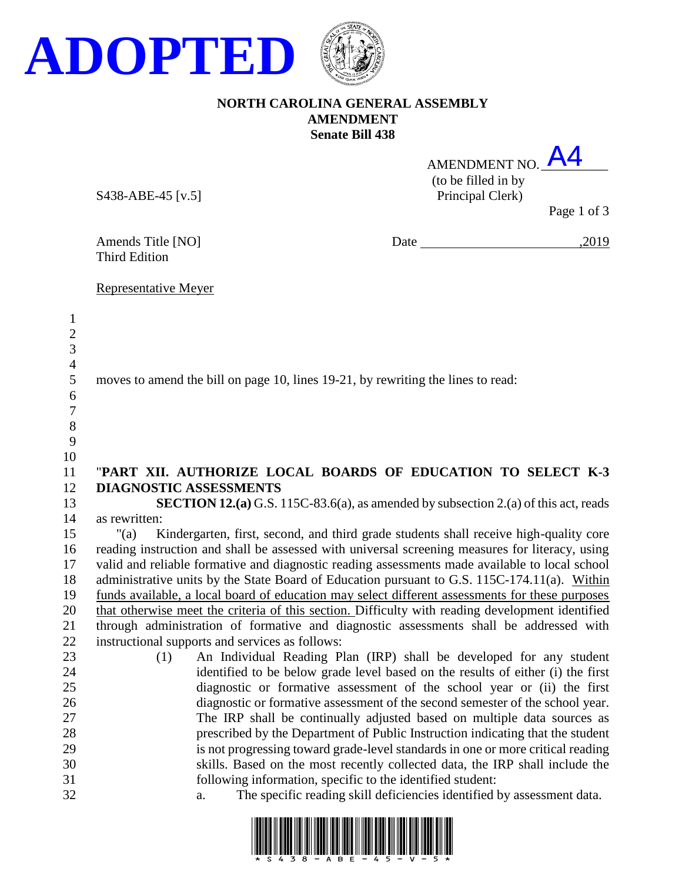

## **NORTH CAROLINA GENERAL ASSEMBLY AMENDMENT Senate Bill 438**

| AMENDMENT NO.       | A4                              |
|---------------------|---------------------------------|
| (to be filled in by |                                 |
| Principal Clerk)    |                                 |
|                     | $D_{\alpha\alpha\alpha}$ 1 of 2 |

S438-ABE-45 [v.5]

Page 1 of 3

Amends Title [NO] Date ,2019

Third Edition

Representative Meyer

| $\mathbf{1}$<br>$\sqrt{2}$<br>3<br>$\overline{4}$<br>5<br>6<br>$\overline{7}$<br>$8\,$<br>9<br>10 | moves to amend the bill on page 10, lines 19-21, by rewriting the lines to read:                                                                           |
|---------------------------------------------------------------------------------------------------|------------------------------------------------------------------------------------------------------------------------------------------------------------|
| 11                                                                                                | "PART XII. AUTHORIZE LOCAL BOARDS OF EDUCATION TO SELECT K-3                                                                                               |
| 12                                                                                                | <b>DIAGNOSTIC ASSESSMENTS</b>                                                                                                                              |
| 13                                                                                                | <b>SECTION 12.(a)</b> G.S. 115C-83.6(a), as amended by subsection 2.(a) of this act, reads                                                                 |
| 14                                                                                                | as rewritten:                                                                                                                                              |
| 15                                                                                                | Kindergarten, first, second, and third grade students shall receive high-quality core<br>" $(a)$                                                           |
| 16                                                                                                | reading instruction and shall be assessed with universal screening measures for literacy, using                                                            |
| 17                                                                                                | valid and reliable formative and diagnostic reading assessments made available to local school                                                             |
| 18                                                                                                | administrative units by the State Board of Education pursuant to G.S. 115C-174.11(a). Within                                                               |
| 19                                                                                                | funds available, a local board of education may select different assessments for these purposes                                                            |
| 20                                                                                                | that otherwise meet the criteria of this section. Difficulty with reading development identified                                                           |
| 21                                                                                                | through administration of formative and diagnostic assessments shall be addressed with                                                                     |
| 22                                                                                                | instructional supports and services as follows:                                                                                                            |
| 23                                                                                                | An Individual Reading Plan (IRP) shall be developed for any student<br>(1)                                                                                 |
| 24<br>25                                                                                          | identified to be below grade level based on the results of either (i) the first<br>diagnostic or formative assessment of the school year or (ii) the first |
| 26                                                                                                | diagnostic or formative assessment of the second semester of the school year.                                                                              |
| 27                                                                                                | The IRP shall be continually adjusted based on multiple data sources as                                                                                    |
| 28                                                                                                | prescribed by the Department of Public Instruction indicating that the student                                                                             |
| 29                                                                                                | is not progressing toward grade-level standards in one or more critical reading                                                                            |
| 30                                                                                                | skills. Based on the most recently collected data, the IRP shall include the                                                                               |
| 31                                                                                                | following information, specific to the identified student:                                                                                                 |
| 32                                                                                                | The specific reading skill deficiencies identified by assessment data.<br>a.                                                                               |

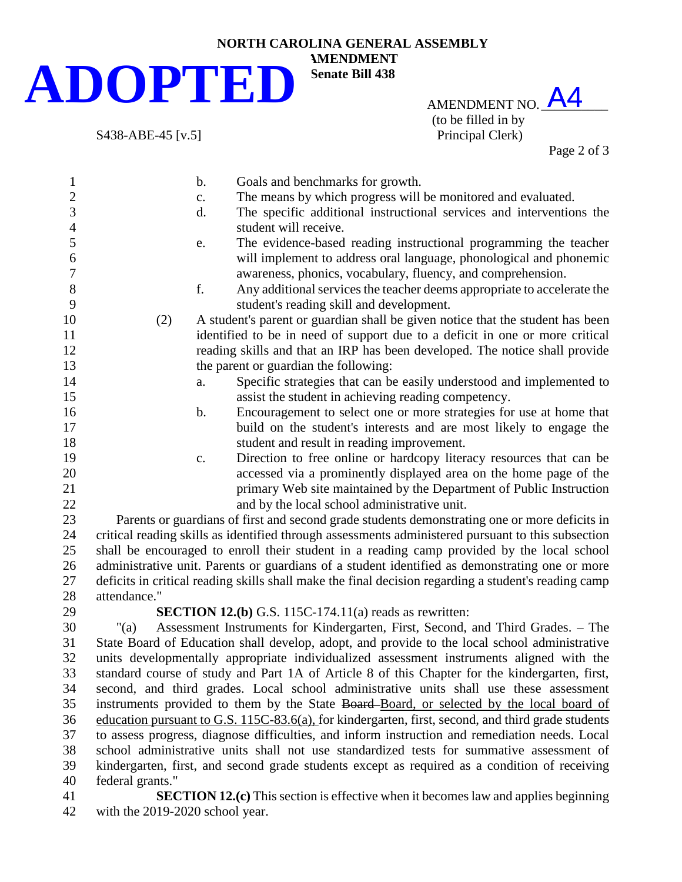## **NORTH CAROLINA GENERAL ASSEMBLY ADOPTED**

S438-ABE-45 [v.5]

AMENDMENT NO.  $\overline{\mathsf{A4}}$ (to be filled in by<br>Principal Clerk)

Page 2 of 3

| $\mathbf{1}$     | $\mathbf b$ .                                                                                      | Goals and benchmarks for growth.                                                                     |  |
|------------------|----------------------------------------------------------------------------------------------------|------------------------------------------------------------------------------------------------------|--|
| $\overline{c}$   | c.                                                                                                 | The means by which progress will be monitored and evaluated.                                         |  |
| $\overline{3}$   | d.                                                                                                 | The specific additional instructional services and interventions the                                 |  |
| $\overline{4}$   |                                                                                                    | student will receive.                                                                                |  |
| 5                | e.                                                                                                 | The evidence-based reading instructional programming the teacher                                     |  |
| $\boldsymbol{6}$ |                                                                                                    | will implement to address oral language, phonological and phonemic                                   |  |
| $\boldsymbol{7}$ |                                                                                                    | awareness, phonics, vocabulary, fluency, and comprehension.                                          |  |
| $8\,$            | f.                                                                                                 | Any additional services the teacher deems appropriate to accelerate the                              |  |
| 9                |                                                                                                    | student's reading skill and development.                                                             |  |
| 10               | (2)                                                                                                | A student's parent or guardian shall be given notice that the student has been                       |  |
| 11               |                                                                                                    | identified to be in need of support due to a deficit in one or more critical                         |  |
| 12               | reading skills and that an IRP has been developed. The notice shall provide                        |                                                                                                      |  |
| 13               | the parent or guardian the following:                                                              |                                                                                                      |  |
| 14               | a.                                                                                                 | Specific strategies that can be easily understood and implemented to                                 |  |
| 15               |                                                                                                    | assist the student in achieving reading competency.                                                  |  |
| 16               | b.                                                                                                 | Encouragement to select one or more strategies for use at home that                                  |  |
| 17               |                                                                                                    | build on the student's interests and are most likely to engage the                                   |  |
| 18               |                                                                                                    | student and result in reading improvement.                                                           |  |
| 19               | $\mathbf{c}$ .                                                                                     | Direction to free online or hardcopy literacy resources that can be                                  |  |
| 20               |                                                                                                    | accessed via a prominently displayed area on the home page of the                                    |  |
| 21               |                                                                                                    | primary Web site maintained by the Department of Public Instruction                                  |  |
| 22               |                                                                                                    | and by the local school administrative unit.                                                         |  |
| 23               | Parents or guardians of first and second grade students demonstrating one or more deficits in      |                                                                                                      |  |
| 24               | critical reading skills as identified through assessments administered pursuant to this subsection |                                                                                                      |  |
| 25               | shall be encouraged to enroll their student in a reading camp provided by the local school         |                                                                                                      |  |
| 26               | administrative unit. Parents or guardians of a student identified as demonstrating one or more     |                                                                                                      |  |
| 27               |                                                                                                    | deficits in critical reading skills shall make the final decision regarding a student's reading camp |  |
| 28               | attendance."                                                                                       |                                                                                                      |  |
| 29               |                                                                                                    | <b>SECTION 12.(b)</b> G.S. 115C-174.11(a) reads as rewritten:                                        |  |
| 30               | Assessment Instruments for Kindergarten, First, Second, and Third Grades. - The<br>"(a)            |                                                                                                      |  |
| 31               | State Board of Education shall develop, adopt, and provide to the local school administrative      |                                                                                                      |  |
| 32               |                                                                                                    | units developmentally appropriate individualized assessment instruments aligned with the             |  |
| 33               | standard course of study and Part 1A of Article 8 of this Chapter for the kindergarten, first,     |                                                                                                      |  |
| 34               | second, and third grades. Local school administrative units shall use these assessment             |                                                                                                      |  |
| 35               | instruments provided to them by the State Board-Board, or selected by the local board of           |                                                                                                      |  |
| 36               | education pursuant to G.S. 115C-83.6(a), for kindergarten, first, second, and third grade students |                                                                                                      |  |
| 37               | to assess progress, diagnose difficulties, and inform instruction and remediation needs. Local     |                                                                                                      |  |
| 38               | school administrative units shall not use standardized tests for summative assessment of           |                                                                                                      |  |
| 39               | kindergarten, first, and second grade students except as required as a condition of receiving      |                                                                                                      |  |
| 40               | federal grants."                                                                                   |                                                                                                      |  |
| 41               | <b>SECTION 12.(c)</b> This section is effective when it becomes law and applies beginning          |                                                                                                      |  |
| 42               | with the 2019-2020 school year.                                                                    |                                                                                                      |  |

**AMENDMENT Senate Bill 438**